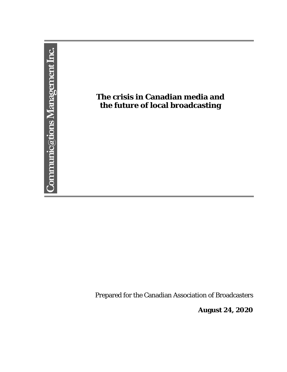

Prepared for the Canadian Association of Broadcasters

**August 24, 2020**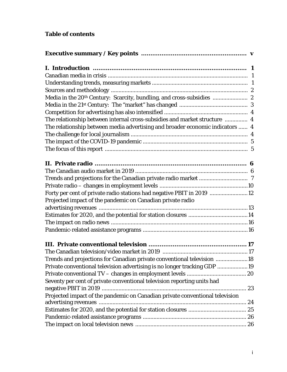# **Table of contents**

| The relationship between internal cross-subsidies and market structure  4     |  |
|-------------------------------------------------------------------------------|--|
| The relationship between media advertising and broader economic indicators  4 |  |
|                                                                               |  |
|                                                                               |  |
|                                                                               |  |
|                                                                               |  |
|                                                                               |  |
|                                                                               |  |
|                                                                               |  |
| Forty per cent of private radio stations had negative PBIT in 2019 12         |  |
| Projected impact of the pandemic on Canadian private radio                    |  |
|                                                                               |  |
|                                                                               |  |
|                                                                               |  |
|                                                                               |  |
|                                                                               |  |
|                                                                               |  |
| Trends and projections for Canadian private conventional television 18        |  |
| Private conventional television advertising is no longer tracking GDP 19      |  |
|                                                                               |  |
| Seventy per cent of private conventional television reporting units had       |  |
|                                                                               |  |
| Projected impact of the pandemic on Canadian private conventional television  |  |
|                                                                               |  |
|                                                                               |  |
|                                                                               |  |
|                                                                               |  |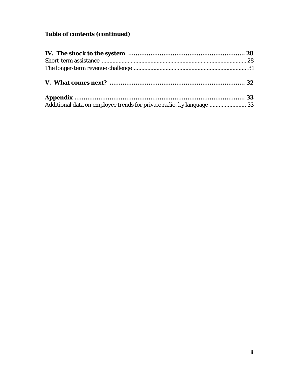# **Table of contents (continued)**

| Additional data on employee trends for private radio, by language  33 |  |
|-----------------------------------------------------------------------|--|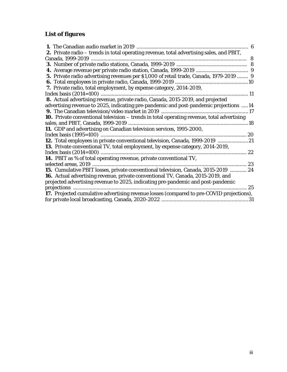# **List of figures**

| 2. Private radio - trends in total operating revenue, total advertising sales, and PBIT,          |    |
|---------------------------------------------------------------------------------------------------|----|
|                                                                                                   |    |
|                                                                                                   |    |
|                                                                                                   |    |
| 5. Private radio advertising revenues per \$1,000 of retail trade, Canada, 1979-2019  9           |    |
|                                                                                                   |    |
| <b>7.</b> Private radio, total employment, by expense category, 2014-2019,                        |    |
|                                                                                                   |    |
| 8. Actual advertising revenue, private radio, Canada, 2015-2019, and projected                    |    |
| advertising revenue to 2025, indicating pre-pandemic and post-pandemic projections 14             |    |
|                                                                                                   |    |
| <b>10.</b> Private conventional television – trends in total operating revenue, total advertising |    |
|                                                                                                   |    |
| 11. GDP and advertising on Canadian television services, 1995-2000,                               |    |
|                                                                                                   |    |
| 12. Total employees in private conventional television, Canada, 1999-2019 21                      |    |
| <b>13.</b> Private conventional TV, total employment, by expense category, 2014-2019,             |    |
|                                                                                                   | 22 |
| 14. PBIT as % of total operating revenue, private conventional TV,                                |    |
|                                                                                                   | 23 |
| 15. Cumulative PBIT losses, private conventional television, Canada, 2015-2019  24                |    |
| <b>16.</b> Actual advertising revenue, private conventional TV, Canada, 2015-2019, and            |    |
| projected advertising revenue to 2025, indicating pre-pandemic and post-pandemic                  |    |
|                                                                                                   | 25 |
| 17. Projected cumulative advertising revenue losses (compared to pre-COVID projections),          |    |
|                                                                                                   |    |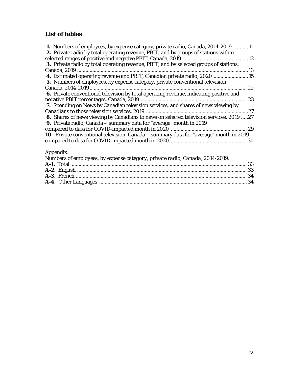# **List of tables**

| 1. Numbers of employees, by expense category, private radio, Canada, 2014-2019  11<br><b>2.</b> Private radio by total operating revenue, PBIT, and by groups of stations within |  |
|----------------------------------------------------------------------------------------------------------------------------------------------------------------------------------|--|
|                                                                                                                                                                                  |  |
| 3. Private radio by total operating revenue, PBIT, and by selected groups of stations,                                                                                           |  |
|                                                                                                                                                                                  |  |
| 4. Estimated operating revenue and PBIT, Canadian private radio, 2020  15                                                                                                        |  |
| 5. Numbers of employees, by expense category, private conventional television,                                                                                                   |  |
| 22                                                                                                                                                                               |  |
| 6. Private conventional television by total operating revenue, indicating positive and                                                                                           |  |
| 23                                                                                                                                                                               |  |
| 7. Spending on News by Canadian television services, and shares of news viewing by                                                                                               |  |
| 27                                                                                                                                                                               |  |
| 8. Shares of news viewing by Canadians to news on selected television services, 2019 27                                                                                          |  |
| 9. Private radio, Canada - summary data for "average" month in 2019                                                                                                              |  |
|                                                                                                                                                                                  |  |
| 10. Private conventional television, Canada - summary data for "average" month in 2019                                                                                           |  |
|                                                                                                                                                                                  |  |
|                                                                                                                                                                                  |  |

# Appendix:

| Numbers of employees, by expense category, private radio, Canada, 2014-2019: |  |
|------------------------------------------------------------------------------|--|
|                                                                              |  |
|                                                                              |  |
|                                                                              |  |
|                                                                              |  |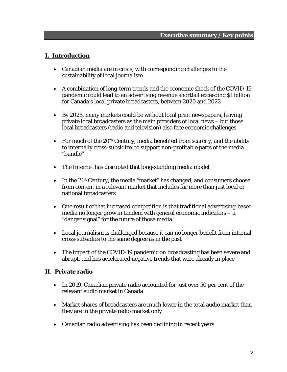### **I. Introduction**

- Canadian media are in crisis, with corresponding challenges to the sustainability of local journalism
- A combination of long-term trends and the economic shock of the COVID-19 pandemic could lead to an advertising revenue shortfall exceeding \$1 billion for Canada's local private broadcasters, between 2020 and 2022
- By 2025, many markets could be without local print newspapers, leaving private local broadcasters as the main providers of local news – but those local broadcasters (radio and television) also face economic challenges
- For much of the  $20<sup>th</sup>$  Century, media benefited from scarcity, and the ability to internally cross-subsidize, to support non-profitable parts of the media "bundle"
- The Internet has disrupted that long-standing media model
- In the 21<sup>st</sup> Century, the media "market" has changed, and consumers choose from content in a relevant market that includes far more than just local or national broadcasters
- One result of that increased competition is that traditional advertising-based media no longer grow in tandem with general economic indicators – a "danger signal" for the future of those media
- Local journalism is challenged because it can no longer benefit from internal cross-subsidies to the same degree as in the past
- The impact of the COVID-19 pandemic on broadcasting has been severe and abrupt, and has accelerated negative trends that were already in place

### **II. Private radio**

- In 2019, Canadian private radio accounted for just over 50 per cent of the relevant audio market in Canada
- Market shares of broadcasters are much lower in the total audio market than they are in the private radio market only
- Canadian radio advertising has been declining in recent years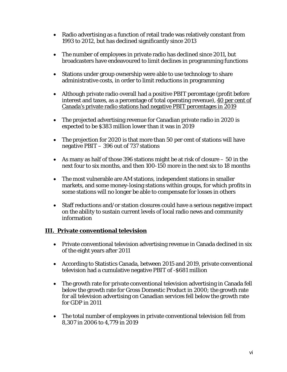- Radio advertising as a function of retail trade was relatively constant from 1993 to 2012, but has declined significantly since 2013
- The number of employees in private radio has declined since 2011, but broadcasters have endeavoured to limit declines in programming functions
- Stations under group ownership were able to use technology to share administrative costs, in order to limit reductions in programming
- Although private radio overall had a positive PBIT percentage (profit before interest and taxes, as a percentage of total operating revenue), 40 per cent of Canada's private radio stations had negative PBIT percentages in 2019
- The projected advertising revenue for Canadian private radio in 2020 is expected to be \$383 million lower than it was in 2019
- The projection for 2020 is that more than 50 per cent of stations will have negative PBIT – 396 out of 737 stations
- As many as half of those 396 stations might be at risk of closure  $-50$  in the next four to six months, and then 100-150 more in the next six to 18 months
- The most vulnerable are AM stations, independent stations in smaller markets, and some money-losing stations within groups, for which profits in some stations will no longer be able to compensate for losses in others
- Staff reductions and/or station closures could have a serious negative impact on the ability to sustain current levels of local radio news and community information

# **III. Private conventional television**

- Private conventional television advertising revenue in Canada declined in six of the eight years after 2011
- According to Statistics Canada, between 2015 and 2019, private conventional television had a cumulative negative PBIT of -\$681 million
- The growth rate for private conventional television advertising in Canada fell below the growth rate for Gross Domestic Product in 2000; the growth rate for all television advertising on Canadian services fell below the growth rate for GDP in 2011
- The total number of employees in private conventional television fell from 8,307 in 2006 to 4,779 in 2019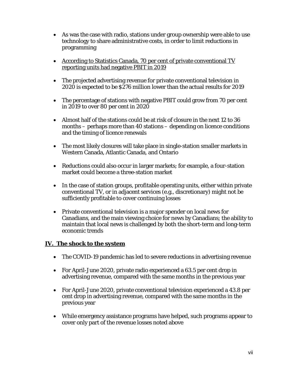- As was the case with radio, stations under group ownership were able to use technology to share administrative costs, in order to limit reductions in programming
- According to Statistics Canada, 70 per cent of private conventional TV reporting units had negative PBIT in 2019
- The projected advertising revenue for private conventional television in 2020 is expected to be \$276 million lower than the actual results for 2019
- The percentage of stations with negative PBIT could grow from 70 per cent in 2019 to over 80 per cent in 2020
- Almost half of the stations could be at risk of closure in the next 12 to 36 months – perhaps more than 40 stations – depending on licence conditions and the timing of licence renewals
- The most likely closures will take place in single-station smaller markets in Western Canada, Atlantic Canada, and Ontario
- Reductions could also occur in larger markets; for example, a four-station market could become a three-station market
- In the case of station groups, profitable operating units, either within private conventional TV, or in adjacent services (e.g., discretionary) might not be sufficiently profitable to cover continuing losses
- Private conventional television is a major spender on local news for Canadians, and the main viewing choice for news by Canadians; the ability to maintain that local news is challenged by both the short-term and long-term economic trends

# **IV. The shock to the system**

- The COVID-19 pandemic has led to severe reductions in advertising revenue
- For April-June 2020, private radio experienced a 63.5 per cent drop in advertising revenue, compared with the same months in the previous year
- For April-June 2020, private conventional television experienced a 43.8 per cent drop in advertising revenue, compared with the same months in the previous year
- While emergency assistance programs have helped, such programs appear to cover only part of the revenue losses noted above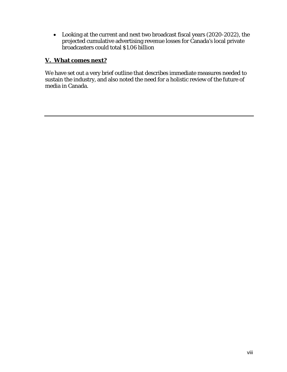Looking at the current and next two broadcast fiscal years (2020-2022), the projected cumulative advertising revenue losses for Canada's local private broadcasters could total \$1.06 billion

# **V. What comes next?**

We have set out a very brief outline that describes immediate measures needed to sustain the industry, and also noted the need for a holistic review of the future of media in Canada.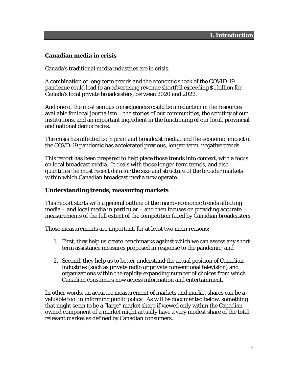### **Canadian media in crisis**

Canada's traditional media industries are in crisis.

A combination of long-term trends and the economic shock of the COVID-19 pandemic could lead to an advertising revenue shortfall exceeding \$1 billion for Canada's local private broadcasters, between 2020 and 2022.

And one of the most serious consequences could be a reduction in the resources available for local journalism – the stories of our communities, the scrutiny of our institutions, and an important ingredient in the functioning of our local, provincial and national democracies.

The crisis has affected both print and broadcast media, and the economic impact of the COVD-19 pandemic has accelerated previous, longer-term, negative trends.

This report has been prepared to help place those trends into context, with a focus on local broadcast media. It deals with those longer-term trends, and also quantifies the most recent data for the size and structure of the broader markets within which Canadian broadcast media now operate.

#### **Understanding trends, measuring markets**

This report starts with a general outline of the macro-economic trends affecting media – and local media in particular – and then focuses on providing accurate measurements of the full extent of the competition faced by Canadian broadcasters.

Those measurements are important, for at least two main reasons:

- 1. First, they help us create benchmarks against which we can assess any shortterm assistance measures proposed in response to the pandemic; and
- 2. Second, they help us to better understand the actual position of Canadian industries (such as private radio or private conventional television) and organizations within the rapidly-expanding number of choices from which Canadian consumers now access information and entertainment.

In other words, an accurate measurement of markets and market shares can be a valuable tool in informing public policy. As will be documented below, something that might seem to be a "large" market share if viewed only within the Canadianowned component of a market might actually have a very modest share of the total relevant market as defined by Canadian consumers.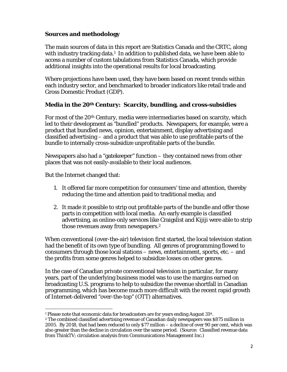# **Sources and methodology**

The main sources of data in this report are Statistics Canada and the CRTC, along with industry tracking data.<sup>1</sup> In addition to published data, we have been able to access a number of custom tabulations from Statistics Canada, which provide additional insights into the operational results for local broadcasting.

Where projections have been used, they have been based on recent trends within each industry sector, and benchmarked to broader indicators like retail trade and Gross Domestic Product (GDP).

# **Media in the 20th Century: Scarcity, bundling, and cross-subsidies**

For most of the 20th Century, media were intermediaries based on scarcity, which led to their development as "bundled" products. Newspapers, for example, were a product that bundled news, opinion, entertainment, display advertising and classified advertising – and a product that was able to use profitable parts of the bundle to internally cross-subsidize unprofitable parts of the bundle.

Newspapers also had a "gatekeeper" function – they contained news from other places that was not easily-available to their local audiences.

But the Internet changed that:

- 1. It offered far more competition for consumers' time and attention, thereby reducing the time and attention paid to traditional media; and
- 2. It made it possible to strip out profitable parts of the bundle and offer those parts in competition with local media. An early example is classified advertising, as online-only services like Craigslist and Kijiji were able to strip those revenues away from newspapers.2

When conventional (over-the-air) television first started, the local television station had the benefit of its own type of bundling. All genres of programming flowed to consumers through those local stations – news, entertainment, sports, etc. – and the profits from some genres helped to subsidize losses on other genres.

In the case of Canadian private conventional television in particular, for many years, part of the underlying business model was to use the margins earned on broadcasting U.S. programs to help to subsidize the revenue shortfall in Canadian programming, which has become much more difficult with the recent rapid growth of Internet-delivered "over-the-top" (OTT) alternatives.

<sup>&</sup>lt;sup>1</sup> Please note that economic data for broadcasters are for years ending August  $31^{st}$ .<br><sup>2</sup> The combined classified advertising revenue of Canadian daily newspapers was \$875 million in 2005. By 2018, that had been reduced to only \$77 million – a decline of over 90 per cent, which was also greater than the decline in circulation over the same period. (Source: Classified revenue data from ThinkTV; circulation analysis from Communications Management Inc.)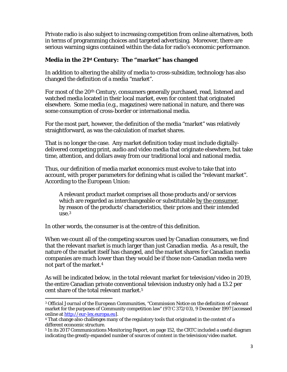Private radio is also subject to increasing competition from online alternatives, both in terms of programming choices and targeted advertising. Moreover, there are serious warning signs contained within the data for radio's economic performance.

# **Media in the 21st Century: The "market" has changed**

In addition to altering the ability of media to cross-subsidize, technology has also changed the definition of a media "market".

For most of the 20th Century, consumers generally purchased, read, listened and watched media located in their local market, even for content that originated elsewhere. Some media (e.g., magazines) were national in nature, and there was some consumption of cross-border or international media.

For the most part, however, the definition of the media "market" was relatively straightforward, as was the calculation of market shares.

That is no longer the case. Any market definition today must include digitallydelivered competing print, audio and video media that originate elsewhere, but take time, attention, and dollars away from our traditional local and national media.

Thus, our definition of media market economics must evolve to take that into account, with proper parameters for defining what is called the "relevant market". According to the European Union:

A relevant product market comprises all those products and/or services which are regarded as interchangeable or substitutable by the consumer, by reason of the products' characteristics, their prices and their intended  $use<sup>3</sup>$ 

In other words, the consumer is at the centre of this definition.

When we count all of the competing sources used by Canadian consumers, we find that the relevant market is much larger than just Canadian media. As a result, the nature of the market itself has changed, and the market shares for Canadian media companies are much lower than they would be if those non-Canadian media were not part of the market.4

As will be indicated below, in the total relevant market for television/video in 2019, the entire Canadian private conventional television industry only had a 13.2 per cent share of the total relevant market.5

 <sup>3</sup> *Official Journal of the European Communities*, "Commission Notice on the definition of relevant market for the purposes of Community competition law" (97/C 372/03), 9 December 1997 [accessed online at http://eur-lex.europa.eu].

<sup>4</sup> That change also challenges many of the regulatory tools that originated in the context of a different economic structure.

<sup>5</sup> In its 2017 *Communications Monitoring Report*, on page 152, the CRTC included a useful diagram indicating the greatly-expanded number of sources of content in the television/video market.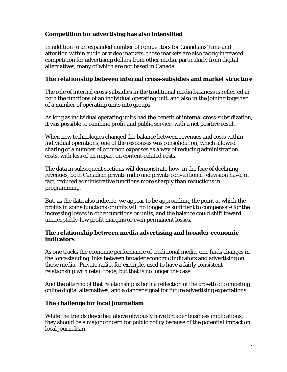# **Competition for advertising has also intensified**

In addition to an expanded number of competitors for Canadians' time and attention within audio or video markets, those markets are also facing increased competition for advertising dollars from other media, particularly from digital alternatives, many of which are not based in Canada.

### **The relationship between internal cross-subsidies and market structure**

The role of internal cross-subsidies in the traditional media business is reflected in both the functions of an individual operating unit, and also in the joining together of a number of operating units into groups.

As long as individual operating units had the benefit of internal cross-subsidization, it was possible to combine profit and public service, with a net positive result.

When new technologies changed the balance between revenues and costs within individual operations, one of the responses was consolidation, which allowed sharing of a number of common expenses as a way of reducing administration costs, with less of an impact on content-related costs.

The data in subsequent sections will demonstrate how, in the face of declining revenues, both Canadian private radio and private conventional television have, in fact, reduced administrative functions more sharply than reductions in programming.

But, as the data also indicate, we appear to be approaching the point at which the profits in some functions or units will no longer be sufficient to compensate for the increasing losses in other functions or units, and the balance could shift toward unacceptably-low profit margins or even permanent losses.

### **The relationship between media advertising and broader economic indicators**

As one tracks the economic performance of traditional media, one finds changes in the long-standing links between broader economic indicators and advertising on those media. Private radio, for example, used to have a fairly consistent relationship with retail trade, but that is no longer the case.

And the altering of that relationship is both a reflection of the growth of competing online digital alternatives, and a danger signal for future advertising expectations.

# **The challenge for local journalism**

While the trends described above obviously have broader business implications, they should be a major concern for public policy because of the potential impact on local journalism.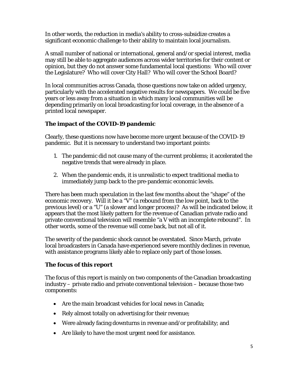In other words, the reduction in media's ability to cross-subsidize creates a significant economic challenge to their ability to maintain local journalism.

A small number of national or international, general and/or special interest, media may still be able to aggregate audiences across wider territories for their content or opinion, but they do not answer some fundamental local questions: Who will cover the Legislature? Who will cover City Hall? Who will cover the School Board?

In local communities across Canada, those questions now take on added urgency, particularly with the accelerated negative results for newspapers. We could be five years or less away from a situation in which many local communities will be depending primarily on local broadcasting for local coverage, in the absence of a printed local newspaper.

# **The impact of the COVID-19 pandemic**

Clearly, these questions now have become more urgent because of the COVID-19 pandemic. But it is necessary to understand two important points:

- 1. The pandemic did not cause many of the current problems; it accelerated the negative trends that were already in place.
- 2. When the pandemic ends, it is unrealistic to expect traditional media to immediately jump back to the pre-pandemic economic levels.

There has been much speculation in the last few months about the "shape" of the economic recovery. Will it be a "V" (a rebound from the low point, back to the previous level) or a "U" (a slower and longer process)? As will be indicated below, it appears that the most likely pattern for the revenue of Canadian private radio and private conventional television will resemble "a V with an incomplete rebound". In other words, some of the revenue will come back, but not all of it.

The severity of the pandemic shock cannot be overstated. Since March, private local broadcasters in Canada have experienced severe monthly declines in revenue, with assistance programs likely able to replace only part of those losses.

# **The focus of this report**

The focus of this report is mainly on two components of the Canadian broadcasting industry – private radio and private conventional television – because those two components:

- Are the main broadcast vehicles for local news in Canada;
- Rely almost totally on advertising for their revenue;
- Were already facing downturns in revenue and/or profitability; and
- Are likely to have the most urgent need for assistance.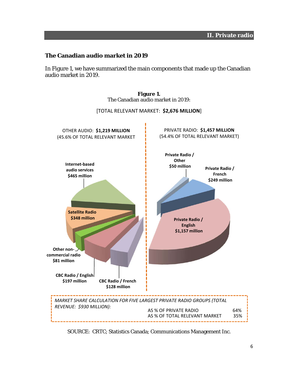### **The Canadian audio market in 2019**

In Figure 1, we have summarized the main components that made up the Canadian audio market in 2019.



**Figure 1.**  The Canadian audio market in 2019:

SOURCE: CRTC; Statistics Canada; Communications Management Inc.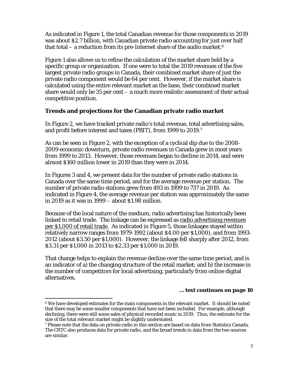As indicated in Figure 1, the total Canadian revenue for those components in 2019 was about \$2.7 billion, with Canadian private radio accounting for just over half that total – a reduction from its pre-Internet share of the audio market.<sup>6</sup>

Figure 1 also allows us to refine the calculation of the market share held by a specific group or organization. If one were to total the 2019 revenues of the five largest private radio groups in Canada, their combined market share of just the private radio component would be 64 per cent. However, if the market share is calculated using the entire relevant market as the base, their combined market share would only be 35 per cent – a much more realistic assessment of their actual competitive position.

### **Trends and projections for the Canadian private radio market**

In Figure 2, we have tracked private radio's total revenue, total advertising sales, and profit before interest and taxes (PBIT), from 1999 to 2019.7

As can be seen in Figure 2, with the exception of a cyclical dip due to the 2008- 2009 economic downturn, private radio revenues in Canada grew in most years from 1999 to 2013. However, those revenues began to decline in 2014, and were almost \$160 million lower in 2019 than they were in 2014.

In Figures 3 and 4, we present data for the number of private radio stations in Canada over the same time period, and for the average revenue per station. The number of private radio stations grew from 493 in 1999 to 737 in 2019. As indicated in Figure 4, the average revenue per station was approximately the same in 2019 as it was in 1999 – about \$1.98 million.

Because of the local nature of the medium, radio advertising has historically been linked to retail trade. The linkage can be expressed as radio advertising revenues per \$1,000 of retail trade. As indicated in Figure 5, those linkages stayed within relatively narrow ranges from 1979-1992 (about \$4.00 per \$1,000), and from 1993- 2012 (about \$3.50 per \$1,000). However, the linkage fell sharply after 2012, from \$3.31 per \$1,000 in 2013 to \$2.33 per \$1,000 in 2019.

That change helps to explain the revenue decline over the same time period, and is an indicator of a) the changing structure of the retail market; and b) the increase in the number of competitors for local advertising, particularly from online digital alternatives.

#### *… text continues on page 10*

<sup>&</sup>lt;sup>6</sup> We have developed estimates for the main components in the relevant market. It should be noted that there may be some smaller components that have not been included. For example, although declining, there were still some sales of physical recorded music in 2019. Thus, the estimate for the size of the total relevant market might be slightly understated.

<sup>7</sup> Please note that the data on private radio in this section are based on data from Statistics Canada. The CRTC also produces data for private radio, and the broad trends in data from the two sources are similar.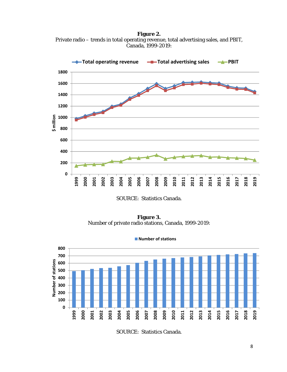**Figure 2.**  Private radio – trends in total operating revenue, total advertising sales, and PBIT, Canada, 1999-2019:



SOURCE: Statistics Canada.

**Figure 3.**  Number of private radio stations, Canada, 1999-2019:

**Number of stations**



SOURCE: Statistics Canada.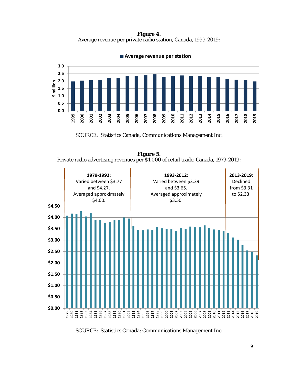**Figure 4.**  Average revenue per private radio station, Canada, 1999-2019:



**Average revenue per station**

SOURCE: Statistics Canada; Communications Management Inc.

**Figure 5.**  Private radio advertising revenues per \$1,000 of retail trade, Canada, 1979-2019:



SOURCE: Statistics Canada; Communications Management Inc.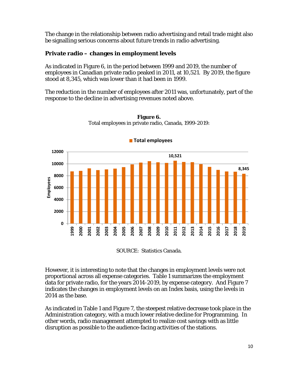The change in the relationship between radio advertising and retail trade might also be signalling serious concerns about future trends in radio advertising.

# **Private radio – changes in employment levels**

As indicated in Figure 6, in the period between 1999 and 2019, the number of employees in Canadian private radio peaked in 2011, at 10,521. By 2019, the figure stood at 8,345, which was lower than it had been in 1999.

The reduction in the number of employees after 2011 was, unfortunately, part of the response to the decline in advertising revenues noted above.



**Figure 6.**  Total employees in private radio, Canada, 1999-2019:

SOURCE: Statistics Canada.

However, it is interesting to note that the changes in employment levels were not proportional across all expense categories. Table 1 summarizes the employment data for private radio, for the years 2014-2019, by expense category. And Figure 7 indicates the changes in employment levels on an Index basis, using the levels in 2014 as the base.

As indicated in Table 1 and Figure 7, the steepest relative decrease took place in the Administration category, with a much lower relative decline for Programming. In other words, radio management attempted to realize cost savings with as little disruption as possible to the audience-facing activities of the stations.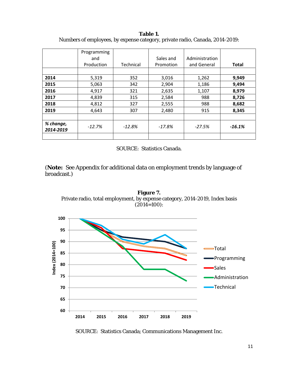|                        | Programming<br>and<br>Production | Technical | Sales and<br>Promotion | Administration<br>and General | <b>Total</b> |
|------------------------|----------------------------------|-----------|------------------------|-------------------------------|--------------|
|                        |                                  |           |                        |                               |              |
| 2014                   | 5,319                            | 352       | 3,016                  | 1,262                         | 9,949        |
| 2015                   | 5,063                            | 342       | 2,904                  | 1,186                         | 9,494        |
| 2016                   | 4,917                            | 321       | 2,635                  | 1,107                         | 8,979        |
| 2017                   | 4,839                            | 315       | 2,584                  | 988                           | 8,726        |
| 2018                   | 4,812                            | 327       | 2,555                  | 988                           | 8,682        |
| 2019                   | 4,643                            | 307       | 2,480                  | 915                           | 8,345        |
|                        |                                  |           |                        |                               |              |
| % change,<br>2014-2019 | $-12.7%$                         | $-12.8%$  | $-17.8%$               | $-27.5%$                      | $-16.1%$     |
|                        |                                  |           |                        |                               |              |

**Table 1.**  Numbers of employees, by expense category, private radio, Canada, 2014-2019:

SOURCE: Statistics Canada.

(**Note:** See Appendix for additional data on employment trends by language of broadcast.)



**Figure 7.** 

SOURCE: Statistics Canada; Communications Management Inc.

**2014 2015 2016 2017 2018 2019**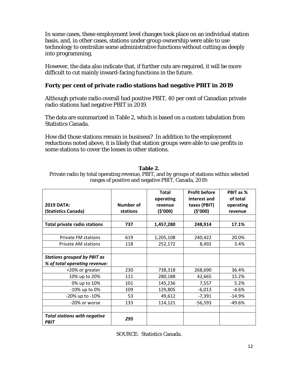In some cases, these employment level changes took place on an individual station basis, and, in other cases, stations under group ownership were able to use technology to centralize some administrative functions without cutting as deeply into programming.

However, the data also indicate that, if further cuts are required, it will be more difficult to cut mainly inward-facing functions in the future.

# **Forty per cent of private radio stations had negative PBIT in 2019**

Although private radio overall had positive PBIT, 40 per cent of Canadian private radio stations had negative PBIT in 2019.

The data are summarized in Table 2, which is based on a custom tabulation from Statistics Canada.

How did those stations remain in business? In addition to the employment reductions noted above, it is likely that station groups were able to use profits in some stations to cover the losses in other stations.

### **Table 2.**

Private radio by total operating revenue, PBIT, and by groups of stations within selected ranges of positive and negative PBIT, Canada, 2019:

|                                                    |                              | <b>Total</b><br>operating | <b>Profit before</b><br>interest and | PBIT as %<br>of total |
|----------------------------------------------------|------------------------------|---------------------------|--------------------------------------|-----------------------|
| <b>2019 DATA:</b><br>(Statistics Canada)           | <b>Number of</b><br>stations | revenue<br>(5'000)        | taxes (PBIT)<br>(5'000)              | operating<br>revenue  |
|                                                    |                              |                           |                                      |                       |
| <b>Total private radio stations</b>                | 737                          | 1,457,280                 | 248,914                              | 17.1%                 |
|                                                    |                              |                           |                                      |                       |
| Private FM stations                                | 619                          | 1,205,108                 | 240,422                              | 20.0%                 |
| Private AM stations                                | 118                          | 252,172                   | 8,492                                | 3.4%                  |
|                                                    |                              |                           |                                      |                       |
| <b>Stations grouped by PBIT as</b>                 |                              |                           |                                      |                       |
| % of total operating revenue:                      |                              |                           |                                      |                       |
| +20% or greater                                    | 230                          | 738,318                   | 268,690                              | 36.4%                 |
| 10% up to 20%                                      | 111                          | 280,188                   | 42,665                               | 15.2%                 |
| 0% up to 10%                                       | 101                          | 145,236                   | 7,557                                | 5.2%                  |
| -10% up to 0%                                      | 109                          | 129,805                   | $-6,013$                             | $-4.6%$               |
| -20% up to -10%                                    | 53                           | 49,612                    | $-7,391$                             | $-14.9%$              |
| -20% or worse                                      | 133                          | 114,121                   | $-56,593$                            | $-49.6%$              |
|                                                    |                              |                           |                                      |                       |
| <b>Total stations with negative</b><br><b>PBIT</b> | 295                          |                           |                                      |                       |

| SOURCE: Statistics Canada. |  |  |
|----------------------------|--|--|
|----------------------------|--|--|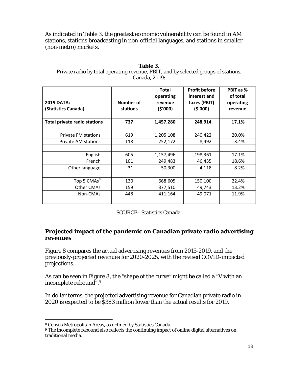As indicated in Table 3, the greatest economic vulnerability can be found in AM stations, stations broadcasting in non-official languages, and stations in smaller (non-metro) markets.

| Table 3.                                                                            |
|-------------------------------------------------------------------------------------|
| Private radio by total operating revenue, PBIT, and by selected groups of stations, |
| Canada, 2019:                                                                       |

| <b>2019 DATA:</b>            | <b>Number of</b> | Total<br>operating<br>revenue | <b>Profit before</b><br>interest and<br>taxes (PBIT) | PBIT as %<br>of total<br>operating |
|------------------------------|------------------|-------------------------------|------------------------------------------------------|------------------------------------|
| (Statistics Canada)          | stations         | (\$'000)                      | (\$'000)                                             | revenue                            |
|                              |                  |                               |                                                      |                                    |
| Total private radio stations | 737              | 1,457,280                     | 248,914                                              | 17.1%                              |
|                              |                  |                               |                                                      |                                    |
| <b>Private FM stations</b>   | 619              | 1,205,108                     | 240,422                                              | 20.0%                              |
| Private AM stations          | 118              | 252,172                       | 8,492                                                | 3.4%                               |
|                              |                  |                               |                                                      |                                    |
| English                      | 605              | 1,157,496                     | 198,361                                              | 17.1%                              |
| French                       | 101              | 249,483                       | 46,435                                               | 18.6%                              |
| Other language               | 31               | 50,300                        | 4,118                                                | 8.2%                               |
|                              |                  |                               |                                                      |                                    |
| Top 5 CMAs <sup>8</sup>      | 130              | 668,605                       | 150,100                                              | 22.4%                              |
| Other CMAs                   | 159              | 377,510                       | 49,743                                               | 13.2%                              |
| Non-CMAs                     | 448              | 411,164                       | 49,071                                               | 11.9%                              |
|                              |                  |                               |                                                      |                                    |

SOURCE: Statistics Canada.

### **Projected impact of the pandemic on Canadian private radio advertising revenues**

Figure 8 compares the actual advertising revenues from 2015-2019, and the previously-projected revenues for 2020-2025, with the revised COVID-impacted projections.

As can be seen in Figure 8, the "shape of the curve" might be called a "V with an incomplete rebound".9

In dollar terms, the projected advertising revenue for Canadian private radio in 2020 is expected to be \$383 million lower than the actual results for 2019.

<sup>8</sup> Census Metropolitan Areas, as defined by Statistics Canada.

<sup>&</sup>lt;sup>9</sup> The incomplete rebound also reflects the continuing impact of online digital alternatives on traditional media.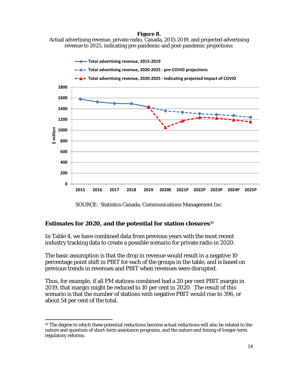#### **Figure 8.**  Actual advertising revenue, private radio, Canada, 2015-2019, and projected advertising revenue to 2025, indicating pre-pandemic and post-pandemic projections:



SOURCE: Statistics Canada; Communications Management Inc.

# **Estimates for 2020, and the potential for station closures**<sup>10</sup>

In Table 4, we have combined data from previous years with the most recent industry tracking data to create a possible scenario for private radio in 2020.

The basic assumption is that the drop in revenue would result in a negative 10 percentage point shift in PBIT for each of the groups in the table, and is based on previous trends in revenues and PBIT when revenues were disrupted.

Thus, for example, if all FM stations combined had a 20 per cent PBIT margin in 2019, that margin might be reduced to 10 per cent in 2020. The result of this scenario is that the number of stations with negative PBIT would rise to 396, or about 54 per cent of the total.

 <sup>10</sup> The degree to which these potential reductions become actual reductions will also be related to the nature and quantum of short-term assistance programs, and the nature and timing of longer-term regulatory reforms.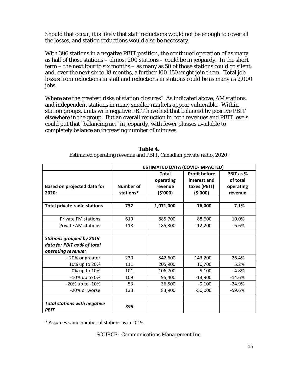Should that occur, it is likely that staff reductions would not be enough to cover all the losses, and station reductions would also be necessary.

With 396 stations in a negative PBIT position, the continued operation of as many as half of those stations – almost 200 stations – could be in jeopardy. In the short term – the next four to six months – as many as 50 of those stations could go silent; and, over the next six to 18 months, a further 100-150 might join them. Total job losses from reductions in staff and reductions in stations could be as many as 2,000 jobs.

Where are the greatest risks of station closures? As indicated above, AM stations, and independent stations in many smaller markets appear vulnerable. Within station groups, units with negative PBIT have had that balanced by positive PBIT elsewhere in the group. But an overall reduction in both revenues and PBIT levels could put that "balancing act" in jeopardy, with fewer plusses available to completely balance an increasing number of minuses.

|                                                                | <b>ESTIMATED DATA (COVID-IMPACTED)</b> |                                                 |                                                                   |                                               |
|----------------------------------------------------------------|----------------------------------------|-------------------------------------------------|-------------------------------------------------------------------|-----------------------------------------------|
| Based on projected data for<br>2020:                           | <b>Number of</b><br>stations*          | <b>Total</b><br>operating<br>revenue<br>(5'000) | <b>Profit before</b><br>interest and<br>taxes (PBIT)<br>( \$'000) | PBIT as %<br>of total<br>operating<br>revenue |
|                                                                |                                        |                                                 |                                                                   |                                               |
| <b>Total private radio stations</b>                            | 737                                    | 1,071,000                                       | 76,000                                                            | 7.1%                                          |
|                                                                |                                        |                                                 |                                                                   |                                               |
| Private FM stations                                            | 619                                    | 885,700                                         | 88,600                                                            | 10.0%                                         |
| <b>Private AM stations</b>                                     | 118                                    | 185,300                                         | $-12,200$                                                         | $-6.6%$                                       |
| <b>Stations grouped by 2019</b><br>data for PBIT as % of total |                                        |                                                 |                                                                   |                                               |
| operating revenue:                                             |                                        |                                                 |                                                                   |                                               |
| +20% or greater                                                | 230                                    | 542,600                                         | 143,200                                                           | 26.4%                                         |
| 10% up to 20%                                                  | 111                                    | 205,900                                         | 10,700                                                            | 5.2%                                          |
| 0% up to 10%                                                   | 101                                    | 106,700                                         | $-5,100$                                                          | $-4.8%$                                       |
| -10% up to 0%                                                  | 109                                    | 95,400                                          | $-13,900$                                                         | $-14.6%$                                      |
| -20% up to -10%                                                | 53                                     | 36,500                                          | $-9,100$                                                          | $-24.9%$                                      |
| -20% or worse                                                  | 133                                    | 83,900                                          | $-50,000$                                                         | $-59.6%$                                      |
| <b>Total stations with negative</b><br><b>PBIT</b>             | 396                                    |                                                 |                                                                   |                                               |

| Table 4.                                                            |
|---------------------------------------------------------------------|
| Estimated operating revenue and PBIT, Canadian private radio, 2020: |

\* Assumes same number of stations as in 2019.

SOURCE: Communications Management Inc.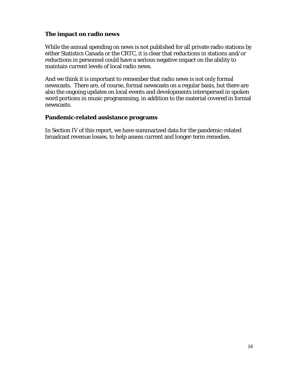# **The impact on radio news**

While the annual spending on news is not published for all private radio stations by either Statistics Canada or the CRTC, it is clear that reductions in stations and/or reductions in personnel could have a serious negative impact on the ability to maintain current levels of local radio news.

And we think it is important to remember that radio news is not only formal newscasts. There are, of course, formal newscasts on a regular basis, but there are also the ongoing updates on local events and developments interspersed in spoken word portions in music programming, in addition to the material covered in formal newscasts.

### **Pandemic-related assistance programs**

In Section IV of this report, we have summarized data for the pandemic-related broadcast revenue losses, to help assess current and longer-term remedies.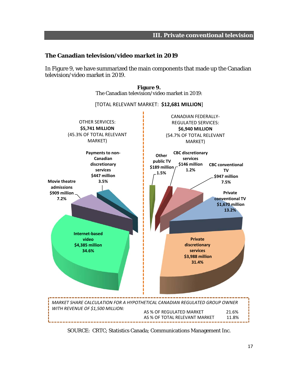### **The Canadian television/video market in 2019**

In Figure 9, we have summarized the main components that made up the Canadian television/video market in 2019.



**Figure 9.**  The Canadian television/video market in 2019:

SOURCE: CRTC; Statistics Canada; Communications Management Inc.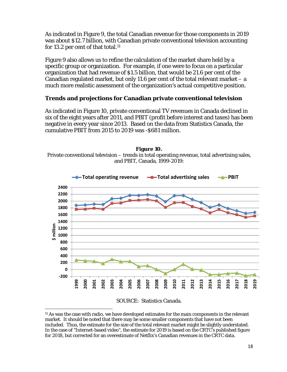As indicated in Figure 9, the total Canadian revenue for those components in 2019 was about \$12.7 billion, with Canadian private conventional television accounting for 13.2 per cent of that total.<sup>11</sup>

Figure 9 also allows us to refine the calculation of the market share held by a specific group or organization. For example, if one were to focus on a particular organization that had revenue of \$1.5 billion, that would be 21.6 per cent of the Canadian regulated market, but only 11.6 per cent of the total relevant market  $-a$ much more realistic assessment of the organization's actual competitive position.

# **Trends and projections for Canadian private conventional television**

As indicated in Figure 10, private conventional TV revenues in Canada declined in six of the eight years after 2011, and PBIT (profit before interest and taxes) has been negative in every year since 2013. Based on the data from Statistics Canada, the cumulative PBIT from 2015 to 2019 was -\$681 million.







 11 As was the case with radio, we have developed estimates for the main components in the relevant market. It should be noted that there may be some smaller components that have not been included. Thus, the estimate for the size of the total relevant market might be slightly understated. In the case of "Internet-based video", the estimate for 2019 is based on the CRTC's published figure for 2018, but corrected for an overestimate of Netflix's Canadian revenues in the CRTC data.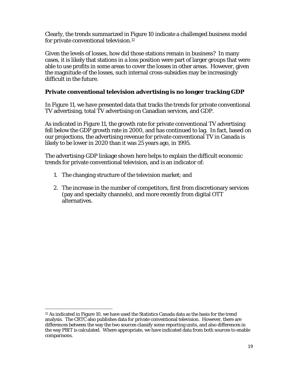Clearly, the trends summarized in Figure 10 indicate a challenged business model for private conventional television.12

Given the levels of losses, how did those stations remain in business? In many cases, it is likely that stations in a loss position were part of larger groups that were able to use profits in some areas to cover the losses in other areas. However, given the magnitude of the losses, such internal cross-subsidies may be increasingly difficult in the future.

# **Private conventional television advertising is no longer tracking GDP**

In Figure 11, we have presented data that tracks the trends for private conventional TV advertising, total TV advertising on Canadian services, and GDP.

As indicated in Figure 11, the growth rate for private conventional TV advertising fell below the GDP growth rate in 2000, and has continued to lag. In fact, based on our projections, the advertising revenue for private conventional TV in Canada is likely to be lower in 2020 than it was 25 years ago, in 1995.

The advertising-GDP linkage shown here helps to explain the difficult economic trends for private conventional television, and is an indicator of:

- 1. The changing structure of the television market; and
- 2. The increase in the number of competitors, first from discretionary services (pay and specialty channels), and more recently from digital OTT alternatives.

  $12$  As indicated in Figure 10, we have used the Statistics Canada data as the basis for the trend analysis. The CRTC also publishes data for private conventional television. However, there are differences between the way the two sources classify some reporting units, and also differences in the way PBIT is calculated. Where appropriate, we have indicated data from both sources to enable comparisons.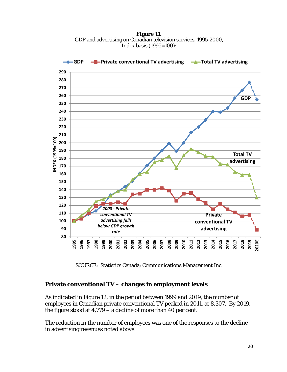**Figure 11.**  GDP and advertising on Canadian television services, 1995-2000, Index basis (1995=100):



SOURCE: Statistics Canada; Communications Management Inc.

### **Private conventional TV – changes in employment levels**

As indicated in Figure 12, in the period between 1999 and 2019, the number of employees in Canadian private conventional TV peaked in 2011, at 8,307. By 2019, the figure stood at 4,779 – a decline of more than 40 per cent.

The reduction in the number of employees was one of the responses to the decline in advertising revenues noted above.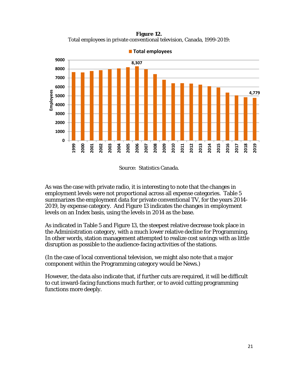**Figure 12.**  Total employees in private conventional television, Canada, 1999-2019:



**Total employees**

As was the case with private radio, it is interesting to note that the changes in employment levels were not proportional across all expense categories. Table 5 summarizes the employment data for private conventional TV, for the years 2014- 2019, by expense category. And Figure 13 indicates the changes in employment levels on an Index basis, using the levels in 2014 as the base.

As indicated in Table 5 and Figure 13, the steepest relative decrease took place in the Administration category, with a much lower relative decline for Programming. In other words, station management attempted to realize cost savings with as little disruption as possible to the audience-facing activities of the stations.

(In the case of local conventional television, we might also note that a major component within the Programming category would be News.)

However, the data also indicate that, if further cuts are required, it will be difficult to cut inward-facing functions much further, or to avoid cutting programming functions more deeply.

Source: Statistics Canada.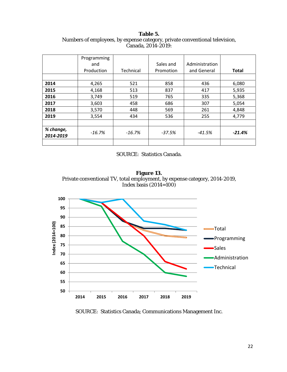**Table 5.**  Numbers of employees, by expense category, private conventional television, Canada, 2014-2019:

|                        | Programming<br>and<br>Production | <b>Technical</b> | Sales and<br>Promotion | Administration<br>and General | <b>Total</b> |
|------------------------|----------------------------------|------------------|------------------------|-------------------------------|--------------|
|                        |                                  |                  |                        |                               |              |
| 2014                   | 4,265                            | 521              | 858                    | 436                           | 6,080        |
| 2015                   | 4,168                            | 513              | 837                    | 417                           | 5,935        |
| 2016                   | 3,749                            | 519              | 765                    | 335                           | 5,368        |
| 2017                   | 3,603                            | 458              | 686                    | 307                           | 5,054        |
| 2018                   | 3,570                            | 448              | 569                    | 261                           | 4,848        |
| 2019                   | 3,554                            | 434              | 536                    | 255                           | 4,779        |
|                        |                                  |                  |                        |                               |              |
| % change,<br>2014-2019 | $-16.7%$                         | $-16.7%$         | $-37.5%$               | $-41.5%$                      | $-21.4%$     |
|                        |                                  |                  |                        |                               |              |

#### SOURCE: Statistics Canada.

**Figure 13.**  Private conventional TV, total employment, by expense category, 2014-2019, Index basis  $(2014=100)$ 



SOURCE: Statistics Canada; Communications Management Inc.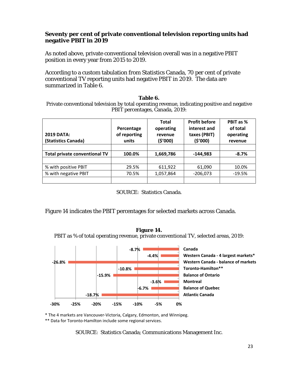#### **Seventy per cent of private conventional television reporting units had negative PBIT in 2019**

As noted above, private conventional television overall was in a negative PBIT position in every year from 2015 to 2019.

According to a custom tabulation from Statistics Canada, 70 per cent of private conventional TV reporting units had negative PBIT in 2019. The data are summarized in Table 6.

#### **Table 6.**

Private conventional television by total operating revenue, indicating positive and negative PBIT percentages, Canada, 2019:

| <b>2019 DATA:</b><br>(Statistics Canada) | Percentage<br>of reporting<br>units | <b>Total</b><br>operating<br>revenue<br>(5'000) | <b>Profit before</b><br>interest and<br>taxes (PBIT)<br>(\$'000) | PBIT as %<br>of total<br>operating<br>revenue |
|------------------------------------------|-------------------------------------|-------------------------------------------------|------------------------------------------------------------------|-----------------------------------------------|
|                                          |                                     |                                                 |                                                                  |                                               |
| <b>Total private conventional TV</b>     | 100.0%                              | 1,669,786                                       | $-144,983$                                                       | $-8.7%$                                       |
|                                          |                                     |                                                 |                                                                  |                                               |
| % with positive PBIT                     | 29.5%                               | 611,922                                         | 61,090                                                           | 10.0%                                         |
| % with negative PBIT                     | 70.5%                               | 1,057,864                                       | $-206,073$                                                       | $-19.5%$                                      |
|                                          |                                     |                                                 |                                                                  |                                               |

SOURCE: Statistics Canada.

**Figure 14.** 

Figure 14 indicates the PBIT percentages for selected markets across Canada.



\* The 4 markets are Vancouver‐Victoria, Calgary, Edmonton, and Winnipeg.

\*\* Data for Toronto‐Hamilton include some regional services.

SOURCE: Statistics Canada; Communications Management Inc.

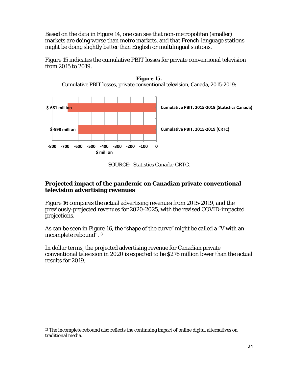Based on the data in Figure 14, one can see that non-metropolitan (smaller) markets are doing worse than metro markets, and that French-language stations might be doing slightly better than English or multilingual stations.

Figure 15 indicates the cumulative PBIT losses for private conventional television from 2015 to 2019.



**Figure 15.**  Cumulative PBIT losses, private conventional television, Canada, 2015-2019:

SOURCE: Statistics Canada; CRTC.

### **Projected impact of the pandemic on Canadian private conventional television advertising revenues**

Figure 16 compares the actual advertising revenues from 2015-2019, and the previously-projected revenues for 2020-2025, with the revised COVID-impacted projections.

As can be seen in Figure 16, the "shape of the curve" might be called a "V with an incomplete rebound".13

In dollar terms, the projected advertising revenue for Canadian private conventional television in 2020 is expected to be \$276 million lower than the actual results for 2019.

 $13$  The incomplete rebound also reflects the continuing impact of online digital alternatives on traditional media.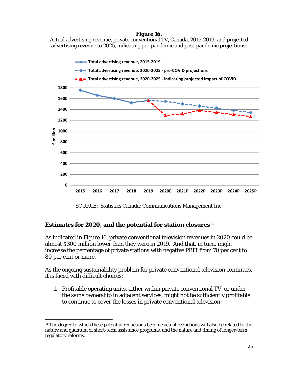#### **Figure 16.**

Actual advertising revenue, private conventional TV, Canada, 2015-2019, and projected advertising revenue to 2025, indicating pre-pandemic and post-pandemic projections:



SOURCE: Statistics Canada; Communications Management Inc.

# **Estimates for 2020, and the potential for station closures**<sup>14</sup>

As indicated in Figure 16, private conventional television revenues in 2020 could be almost \$300 million lower than they were in 2019. And that, in turn, might increase the percentage of private stations with negative PBIT from 70 per cent to 80 per cent or more.

As the ongoing sustainability problem for private conventional television continues, it is faced with difficult choices:

1. Profitable operating units, either within private conventional TV, or under the same ownership in adjacent services, might not be sufficiently profitable to continue to cover the losses in private conventional television;

 14 The degree to which these potential reductions become actual reductions will also be related to the nature and quantum of short-term assistance programs, and the nature and timing of longer-term regulatory reforms.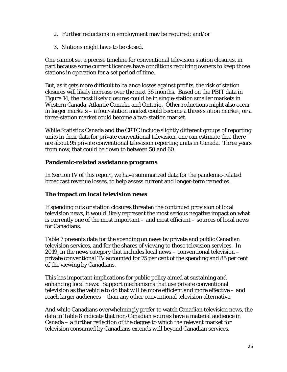- 2. Further reductions in employment may be required; and/or
- 3. Stations might have to be closed.

One cannot set a precise timeline for conventional television station closures, in part because some current licences have conditions requiring owners to keep those stations in operation for a set period of time.

But, as it gets more difficult to balance losses against profits, the risk of station closures will likely increase over the next 36 months. Based on the PBIT data in Figure 14, the most likely closures could be in single-station smaller markets in Western Canada, Atlantic Canada, and Ontario. Other reductions might also occur in larger markets – a four-station market could become a three-station market, or a three-station market could become a two-station market.

While Statistics Canada and the CRTC include slightly different groups of reporting units in their data for private conventional television, one can estimate that there are about 95 private conventional television reporting units in Canada. Three years from now, that could be down to between 50 and 60.

# **Pandemic-related assistance programs**

In Section IV of this report, we have summarized data for the pandemic-related broadcast revenue losses, to help assess current and longer-term remedies.

# **The impact on local television news**

If spending cuts or station closures threaten the continued provision of local television news, it would likely represent the most serious negative impact on what is currently one of the most important – and most efficient – sources of local news for Canadians.

Table 7 presents data for the spending on news by private and public Canadian television services, and for the shares of viewing to those television services. In 2019, in the news category that includes local news – conventional television – private conventional TV accounted for 75 per cent of the spending and 85 per cent of the viewing by Canadians.

This has important implications for public policy aimed at sustaining and enhancing local news: Support mechanisms that use private conventional television as the vehicle to do that will be more efficient and more effective – and reach larger audiences – than any other conventional television alternative.

And while Canadians overwhelmingly prefer to watch Canadian television news, the data in Table 8 indicate that non-Canadian sources have a material audience in Canada – a further reflection of the degree to which the relevant market for television consumed by Canadians extends well beyond Canadian services.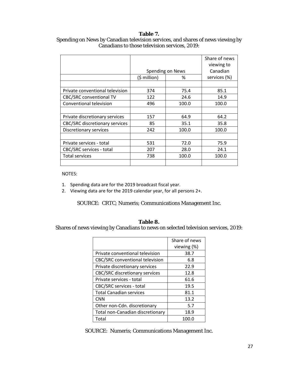#### **Table 7.**

|                                 |               |                  | Share of news<br>viewing to |
|---------------------------------|---------------|------------------|-----------------------------|
|                                 |               | Spending on News | Canadian                    |
|                                 | $(5$ million) | %                | services (%)                |
|                                 |               |                  |                             |
| Private conventional television | 374           | 75.4             | 85.1                        |
| <b>CBC/SRC conventional TV</b>  | 122           | 24.6             | 14.9                        |
| Conventional television         | 496           | 100.0            | 100.0                       |
|                                 |               |                  |                             |
| Private discretionary services  | 157           | 64.9             | 64.2                        |
| CBC/SRC discretionary services  | 85            | 35.1             | 35.8                        |
| Discretionary services          | 242           | 100.0            | 100.0                       |
|                                 |               |                  |                             |
| Private services - total        | 531           | 72.0             | 75.9                        |
| CBC/SRC services - total        | 207           | 28.0             | 24.1                        |
| <b>Total services</b>           | 738           | 100.0            | 100.0                       |
|                                 |               |                  |                             |

### Spending on News by Canadian television services, and shares of news viewing by Canadians to those television services, 2019:

NOTES:

- 1. Spending data are for the 2019 broadcast fiscal year.
- 2. Viewing data are for the 2019 calendar year, for all persons 2+.

SOURCE: CRTC; Numeris; Communications Management Inc.

#### **Table 8.**

Shares of news viewing by Canadians to news on selected television services, 2019:

|                                        | Share of news |
|----------------------------------------|---------------|
|                                        | viewing (%)   |
| Private conventional television        | 38.7          |
| <b>CBC/SRC</b> conventional television | 6.8           |
| Private discretionary services         | 22.9          |
| <b>CBC/SRC</b> discretionary services  | 12.8          |
| Private services - total               | 61.6          |
| <b>CBC/SRC services - total</b>        | 19.5          |
| <b>Total Canadian services</b>         | 81.1          |
| <b>CNN</b>                             | 13.2          |
| Other non-Cdn. discretionary           | 5.7           |
| Total non-Canadian discretionary       | 18.9          |
| Total                                  | 100.0         |

SOURCE: Numeris; Communications Management Inc.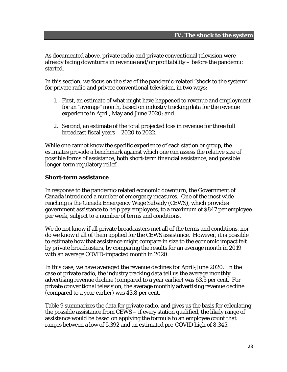As documented above, private radio and private conventional television were already facing downturns in revenue and/or profitability – before the pandemic started.

In this section, we focus on the size of the pandemic-related "shock to the system" for private radio and private conventional television, in two ways:

- 1. First, an estimate of what might have happened to revenue and employment for an "average" month, based on industry tracking data for the revenue experience in April, May and June 2020; and
- 2. Second, an estimate of the total projected loss in revenue for three full broadcast fiscal years – 2020 to 2022.

While one cannot know the specific experience of each station or group, the estimates provide a benchmark against which one can assess the relative size of possible forms of assistance, both short-term financial assistance, and possible longer-term regulatory relief.

#### **Short-term assistance**

In response to the pandemic-related economic downturn, the Government of Canada introduced a number of emergency measures. One of the most widereaching is the Canada Emergency Wage Subsidy (CEWS), which provides government assistance to help pay employees, to a maximum of \$847 per employee per week, subject to a number of terms and conditions.

We do not know if all private broadcasters met all of the terms and conditions, nor do we know if all of them applied for the CEWS assistance. However, it is possible to estimate how that assistance might compare in size to the economic impact felt by private broadcasters, by comparing the results for an average month in 2019 with an average COVID-impacted month in 2020.

In this case, we have averaged the revenue declines for April-June 2020. In the case of private radio, the industry tracking data tell us the average monthly advertising revenue decline (compared to a year earlier) was 63.5 per cent. For private conventional television, the average monthly advertising revenue decline (compared to a year earlier) was 43.8 per cent.

Table 9 summarizes the data for private radio, and gives us the basis for calculating the possible assistance from CEWS – if every station qualified, the likely range of assistance would be based on applying the formula to an employee count that ranges between a low of 5,392 and an estimated pre-COVID high of 8,345.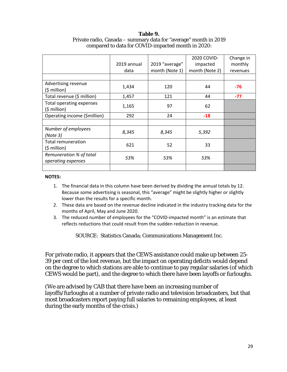#### **Table 9.**  Private radio, Canada – summary data for "average" month in 2019 compared to data for COVID-impacted month in 2020:

|                                               | 2019 annual<br>data | 2019 "average"<br>month (Note 1) | 2020 COVID-<br>impacted<br>month (Note 2) | Change in<br>monthly<br>revenues |
|-----------------------------------------------|---------------------|----------------------------------|-------------------------------------------|----------------------------------|
| Advertising revenue<br>$(5 \text{ million})$  | 1,434               | 120                              | 44                                        | $-76$                            |
| Total revenue (\$ million)                    | 1,457               | 121                              | 44                                        | $-77$                            |
| Total operating expenses<br>(\$ million)      | 1,165               | 97                               | 62                                        |                                  |
| Operating income (\$million)                  | 292                 | 24                               | $-18$                                     |                                  |
|                                               |                     |                                  |                                           |                                  |
| Number of employees<br>(Note 3)               | 8,345               | 8,345                            | 5,392                                     |                                  |
| Total remuneration<br>$(5$ million)           | 621                 | 52                               | 33                                        |                                  |
| Remuneration % of total<br>operating expenses | 53%                 | 53%                              | 53%                                       |                                  |
|                                               |                     |                                  |                                           |                                  |

#### **NOTES:**

- 1. The financial data in this column have been derived by dividing the annual totals by 12. Because some advertising is seasonal, this "average" might be slightly higher or slightly lower than the results for a specific month.
- 2. These data are based on the revenue decline indicated in the industry tracking data for the months of April, May and June 2020.
- 3. The reduced number of employees for the "COVID-impacted month" is an estimate that reflects reductions that could result from the sudden reduction in revenue.

SOURCE: Statistics Canada; Communications Management Inc.

For private radio, it appears that the CEWS assistance could make up between 25- 39 per cent of the lost revenue, but the impact on operating deficits would depend on the degree to which stations are able to continue to pay regular salaries (of which CEWS would be part), and the degree to which there have been layoffs or furloughs.

(We are advised by CAB that there have been an increasing number of layoffs/furloughs at a number of private radio and television broadcasters, but that most broadcasters report paying full salaries to remaining employees, at least during the early months of the crisis.)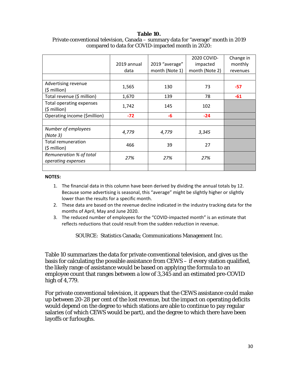#### **Table 10.**

|                                               |             |                | 2020 COVID-    | Change in |
|-----------------------------------------------|-------------|----------------|----------------|-----------|
|                                               | 2019 annual | 2019 "average" | impacted       | monthly   |
|                                               | data        | month (Note 1) | month (Note 2) | revenues  |
|                                               |             |                |                |           |
| Advertising revenue<br>$(5$ million)          | 1,565       | 130            | 73             | $-57$     |
| Total revenue (\$ million)                    | 1,670       | 139            | 78             | $-61$     |
| Total operating expenses<br>$(5$ million)     | 1,742       | 145            | 102            |           |
| Operating income (\$million)                  | $-72$       | -6             | $-24$          |           |
|                                               |             |                |                |           |
| Number of employees<br>(Note 3)               | 4,779       | 4,779          | 3,345          |           |
| Total remuneration<br>$(5$ million)           | 466         | 39             | 27             |           |
| Remuneration % of total<br>operating expenses | 27%         | 27%            | 27%            |           |
|                                               |             |                |                |           |

### Private conventional television, Canada – summary data for "average" month in 2019 compared to data for COVID-impacted month in 2020:

#### **NOTES:**

- 1. The financial data in this column have been derived by dividing the annual totals by 12. Because some advertising is seasonal, this "average" might be slightly higher or slightly lower than the results for a specific month.
- 2. These data are based on the revenue decline indicated in the industry tracking data for the months of April, May and June 2020.
- 3. The reduced number of employees for the "COVID‐impacted month" is an estimate that reflects reductions that could result from the sudden reduction in revenue.

SOURCE: Statistics Canada; Communications Management Inc.

Table 10 summarizes the data for private conventional television, and gives us the basis for calculating the possible assistance from CEWS – if every station qualified, the likely range of assistance would be based on applying the formula to an employee count that ranges between a low of 3,345 and an estimated pre-COVID high of 4,779.

For private conventional television, it appears that the CEWS assistance could make up between 20-28 per cent of the lost revenue, but the impact on operating deficits would depend on the degree to which stations are able to continue to pay regular salaries (of which CEWS would be part), and the degree to which there have been layoffs or furloughs.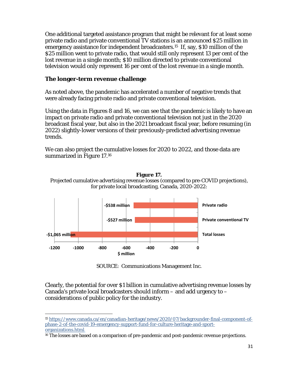One additional targeted assistance program that might be relevant for at least some private radio and private conventional TV stations is an announced \$25 million in emergency assistance for independent broadcasters.15 If, say, \$10 million of the \$25 million went to private radio, that would still only represent 13 per cent of the lost revenue in a single month; \$10 million directed to private conventional television would only represent 16 per cent of the lost revenue in a single month.

### **The longer-term revenue challenge**

As noted above, the pandemic has accelerated a number of negative trends that were already facing private radio and private conventional television.

Using the data in Figures 8 and 16, we can see that the pandemic is likely to have an impact on private radio and private conventional television not just in the 2020 broadcast fiscal year, but also in the 2021 broadcast fiscal year, before resuming (in 2022) slightly-lower versions of their previously-predicted advertising revenue trends.

We can also project the cumulative losses for 2020 to 2022, and those data are summarized in Figure 17.16



**Figure 17.**  Projected cumulative advertising revenue losses (compared to pre-COVID projections), for private local broadcasting, Canada, 2020-2022:

SOURCE: Communications Management Inc.

Clearly, the potential for over \$1 billion in cumulative advertising revenue losses by Canada's private local broadcasters should inform – and add urgency to – considerations of public policy for the industry.

 <sup>15</sup> https://www.canada.ca/en/canadian-heritage/news/2020/07/backgrounder-final-component-ofphase-2-of-the-covid-19-emergency-support-fund-for-culture-heritage-and-sportorganizations.html.

<sup>&</sup>lt;sup>16</sup> The losses are based on a comparison of pre-pandemic and post-pandemic revenue projections.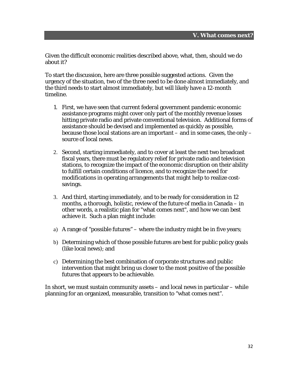Given the difficult economic realities described above, what, then, should we do about it?

To start the discussion, here are three possible suggested actions. Given the urgency of the situation, two of the three need to be done almost immediately, and the third needs to start almost immediately, but will likely have a 12-month timeline.

- 1. First, we have seen that current federal government pandemic economic assistance programs might cover only part of the monthly revenue losses hitting private radio and private conventional television. Additional forms of assistance should be devised and implemented as quickly as possible, because those local stations are an important – and in some cases, the only – source of local news.
- 2. Second, starting immediately, and to cover at least the next two broadcast fiscal years, there must be regulatory relief for private radio and television stations, to recognize the impact of the economic disruption on their ability to fulfill certain conditions of licence, and to recognize the need for modifications in operating arrangements that might help to realize costsavings.
- 3. And third, starting immediately, and to be ready for consideration in 12 months, a thorough, holistic, review of the future of media in Canada – in other words, a realistic plan for "what comes next", and how we can best achieve it. Such a plan might include:
- a) A range of "possible futures" where the industry might be in five years;
- b) Determining which of those possible futures are best for public policy goals (like local news); and
- c) Determining the best combination of corporate structures and public intervention that might bring us closer to the most positive of the possible futures that appears to be achievable.

In short, we must sustain community assets – and local news in particular – while planning for an organized, measurable, transition to "what comes next".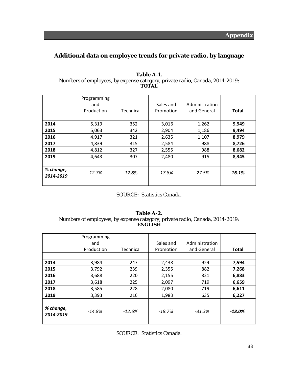# **Additional data on employee trends for private radio, by language**

|                        | Programming |           |           |                |              |
|------------------------|-------------|-----------|-----------|----------------|--------------|
|                        | and         |           | Sales and | Administration |              |
|                        | Production  | Technical | Promotion | and General    | <b>Total</b> |
|                        |             |           |           |                |              |
| 2014                   | 5,319       | 352       | 3,016     | 1,262          | 9,949        |
| 2015                   | 5,063       | 342       | 2,904     | 1,186          | 9,494        |
| 2016                   | 4,917       | 321       | 2,635     | 1,107          | 8,979        |
| 2017                   | 4,839       | 315       | 2,584     | 988            | 8,726        |
| 2018                   | 4,812       | 327       | 2,555     | 988            | 8,682        |
| 2019                   | 4,643       | 307       | 2,480     | 915            | 8,345        |
|                        |             |           |           |                |              |
| % change,<br>2014-2019 | $-12.7%$    | $-12.8%$  | $-17.8\%$ | $-27.5%$       | $-16.1%$     |
|                        |             |           |           |                |              |

#### **Table A-1.**  Numbers of employees, by expense category, private radio, Canada, 2014-2019: **TOTAL**

### SOURCE: Statistics Canada.

#### **Table A-2.**  Numbers of employees, by expense category, private radio, Canada, 2014-2019: **ENGLISH**

|                        | Programming<br>and |           | Sales and | Administration |              |
|------------------------|--------------------|-----------|-----------|----------------|--------------|
|                        | Production         | Technical | Promotion | and General    | <b>Total</b> |
|                        |                    |           |           |                |              |
| 2014                   | 3,984              | 247       | 2,438     | 924            | 7,594        |
| 2015                   | 3,792              | 239       | 2,355     | 882            | 7,268        |
| 2016                   | 3,688              | 220       | 2,155     | 821            | 6,883        |
| 2017                   | 3,618              | 225       | 2,097     | 719            | 6,659        |
| 2018                   | 3,585              | 228       | 2,080     | 719            | 6,611        |
| 2019                   | 3,393              | 216       | 1,983     | 635            | 6,227        |
|                        |                    |           |           |                |              |
| % change,<br>2014-2019 | -14.8%             | $-12.6%$  | $-18.7%$  | -31.3%         | $-18.0\%$    |
|                        |                    |           |           |                |              |

SOURCE: Statistics Canada.